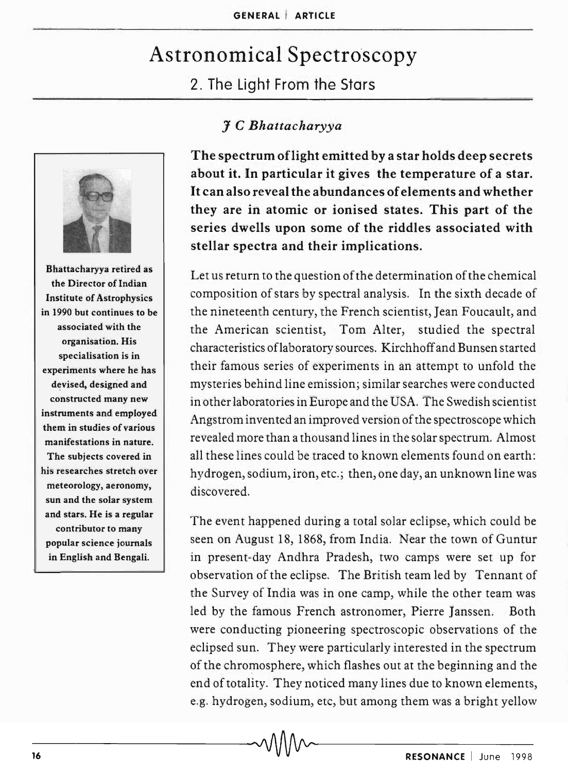## Astronomical Spectroscopy 2. The Light From the Stars



Bhattacharyya retired as the Director of Indian Institute of Astrophysics in 1990 but continues to be associated with the organisation. His specialisation is in experiments where he has devised, designed and constructed many new instruments and employed them in studies of various manifestations in nature. The subjects covered in his researches stretch over meteorology, aeronomy, sun and the solar system and stars. He is a regular contributor to many popular science journals in English and Bengali.

## J *C Bhattacharyya*

The spectrum oflight emitted by a star holds deep secrets about it. In particular it gives the temperature of a star. It can also reveal the abundances of elements and whether they are in atomic or ionised states. This part of the series dwells upon some of the riddles associated with stellar spectra and their implications.

Let us return to the question of the determination of the chemical composition of stars by spectral analysis. In the sixth decade of the nineteenth century, the French scientist, Jean Foucault, and the American scientist, Tom Alter, studied the spectral characteristics oflaboratory sources. Kirchhoff and Bunsen started their famous series of experiments in an attempt to unfold the mysteries behind line emission; similar searches were conducted in other laboratories in Europe and the USA. The Swedish scientist Angstrom invented an improved version of the spectroscope which revealed more than a thousand lines in the solar spectrum. Almost all these lines could be traced to known elements found on earth: hydrogen, sodium, iron, etc.; then, one day, an unknown line was discovered.

The event happened during a total solar eclipse, which could be seen on August 18, 1868, from India. Near the town of Guntur in present-day Andhra Pradesh, two camps were set up for observation of the eclipse. The British team led by Tennant of the Survey of India was in one camp, while the other team was led by the famous French astronomer, Pierre Janssen. Both were conducting pioneering spectroscopic observations of the eclipsed sun. They were particularly interested in the spectrum of the chromosphere, which flashes out at the beginning and the end of totality. They noticed many lines due to known elements, e.g. hydrogen, sodium, etc, but among them was a bright yellow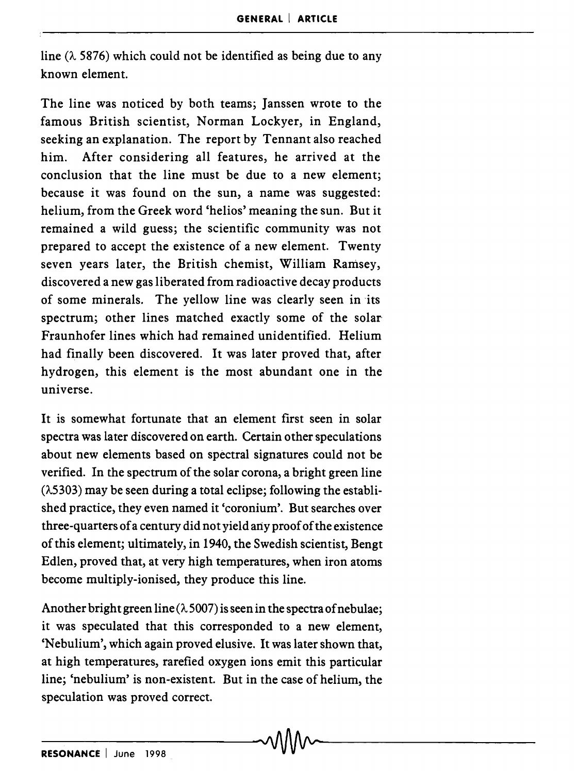line  $(\lambda 5876)$  which could not be identified as being due to any known element.

The line was noticed by both teams; Janssen wrote to the famous British scientist, Norman Lockyer, in England, seeking an explanation. The report by Tennant also reached him. After considering all features, he arrived at the conclusion that the line must be due to a new element; because it was found on the sun, a name was suggested: helium, from the Greek word 'helios' meaning the sun. But it remained a wild guess; the scientific community was not prepared to accept the existence of a new element. Twenty seven years later, the British chemist, William Ramsey, discovered a new gas liberated from radioactive decay products of some minerals. The yellow line was clearly seen in its spectrum; other lines matched exactly some of the solar' Fraunhofer lines which had remained unidentified. Helium had finally been discovered. It was later proved that, after hydrogen, this element is the most abundant one in the universe.

It is somewhat fortunate that an element first seen in solar spectra was later discovered on earth. Certain other speculations about new elements based on spectral signatures could not be verified. In the spectrum of the solar corona, a bright green line  $(\lambda 5303)$  may be seen during a total eclipse; following the established practice, they even named it 'coronium'. But searches over three-quarters of a century did not yield any proof of the existence of this element; ultimately, in 1940, the Swedish scientist, Bengt Edlen, proved that, at very high temperatures, when iron atoms become multiply-ionised, they produce this line.

Another bright green line  $(\lambda 5007)$  is seen in the spectra of nebulae; it was speculated that this corresponded to a new element, 'Nebulium', which again proved elusive. It was later shown that, at high temperatures, rarefied oxygen ions emit this particular line; 'nebulium' is non-existent. But in the case of helium, the speculation was proved correct.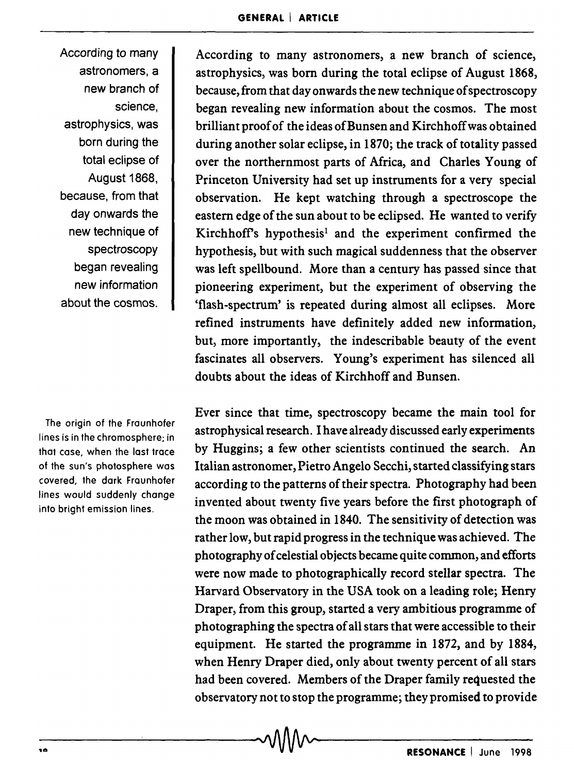According to many astronomers, a new branch of science, astrophysics, was born during the total eclipse of August 1868, because, from that day onwards the new technique of spectroscopy began revealing new information about the cosmos.

The origin of the Fraunhofer lines is in the chromosphere; in that case, when the last trace of the sun's photosphere was covered, the dark Fraunhofer lines would suddenly change into bright emission lines.

According to many astronomers, a new branch of science, astrophysics, was born during the total eclipse of August 1868, because, from that day onwards the new technique of spectroscopy began revealing new information about the cosmos. The most brilliant proof of the ideas of Bunsen and Kirchhoff was obtained during another solar eclipse, in 1870; the track of totality passed over the northernmost parts of Mrica, and Charles Young of Princeton University had set up instruments for a very special observation. He kept watching through a spectroscope the eastern edge of the sun about to be eclipsed. He wanted to verify Kirchhoff's hypothesis<sup>1</sup> and the experiment confirmed the hypothesis, but with such magical suddenness that the observer was left spellbound. More than a century has passed since that pioneering experiment, but the experiment of observing the 'flash-spectrum' is repeated during almost all eclipses. More refined instruments have definitely added new information, but, more importantly, the indescribable beauty of the event fascinates all observers. Young's experiment has silenced all doubts about the ideas of Kirchhoff and Bunsen.

Ever since that time, spectroscopy became the main tool for astrophysical research. I have already discussed early experiments by Huggins; a few other scientists continued the search. An Italian astronomer, Pietro Angelo Secchi, started classifying stars according to the patterns of their spectra. Photography had been invented about twenty five years before the first photograph of the moon was obtained in 1840. The sensitivity of detection was rather low, but rapid progress in the technique was achieved. The photography of celestial objects became quite common, and efforts were now made to photographically record stellar spectra. The Harvard Observatory in the USA took on a leading role; Henry Draper, from this group, started a very ambitious programme of photographing the spectra of all stars that were accessible to their equipment. He started the programme in 1872, and by 1884, when Henry Draper died, only about twenty percent of all stars had been covered. Members of the Draper family requested the observatory not to stop the programme; they promised to provide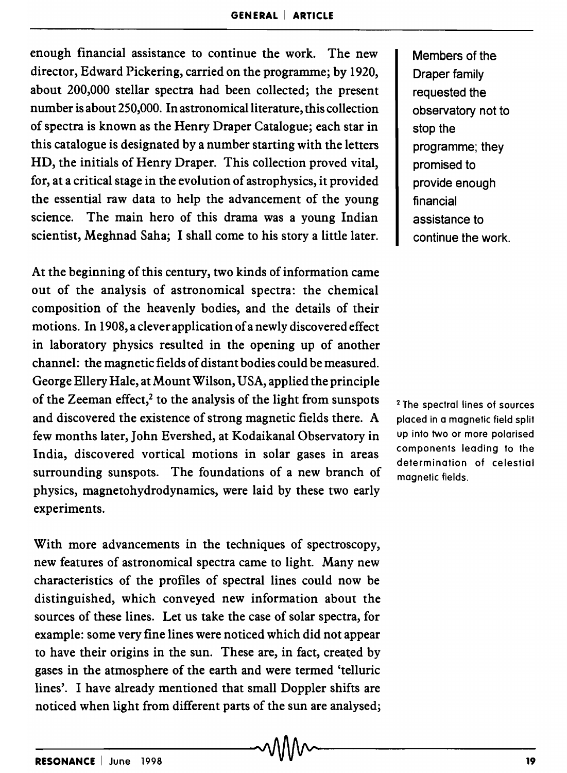enough financial assistance to continue the work. The new director, Edward Pickering, carried on the programme; by 1920, about 200,000 stellar spectra had been collected; the present number is about 250,000. In astronomical literature, this collection of spectra is known as the Henry Draper Catalogue; each star in this catalogue is designated by a number starting with the letters HD, the initials of Henry Draper. This collection proved vital, for, at a critical stage in the evolution of astrophysics, it provided the essential raw data to help the advancement of the young science. The main hero of this drama was a young Indian scientist, Meghnad Saha; I shall come to his story a little later.

At the beginning of this century, two kinds of information came out of the analysis of astronomical spectra: the chemical composition of the heavenly bodies, and the details of their motions. In 1908, a clever application of a newly discovered effect in laboratory physics resulted in the opening up of another channel: the magnetic fields of distant bodies could be measured. George Ellery Hale, at Mount Wilson, USA, applied the principle of the Zeeman effect, $2$  to the analysis of the light from sunspots and discovered the existence of strong magnetic fields there. A few months later, John Evershed, at Kodaikanal Observatory in India, discovered vortical motions in solar gases in areas surrounding sunspots. The foundations of a new branch of physics, magnetohydrodynamics, were laid by these two early experiments.

With more advancements in the techniques of spectroscopy, new features of astronomical spectra came to light. Many new characteristics of the profiles of spectral lines could now be distinguished, which conveyed new information about the sources of these lines. Let us take the case of solar spectra, for example: some very fine lines were noticed which did not appear to have their origins in the sun. These are, in fact, created by gases in the atmosphere of the earth and were termed 'telluric lines'. I have already mentioned that small Doppler shifts are noticed when light from different parts of the sun are analysed; Members of the Draper family requested the observatory not to stop the programme; they promised to provide enough financial assistance to continue the work.

<sup>2</sup> The spectral lines of sources placed in a magnetic field split up into two or more polarised components leading to the determination of celestial magnetic fields.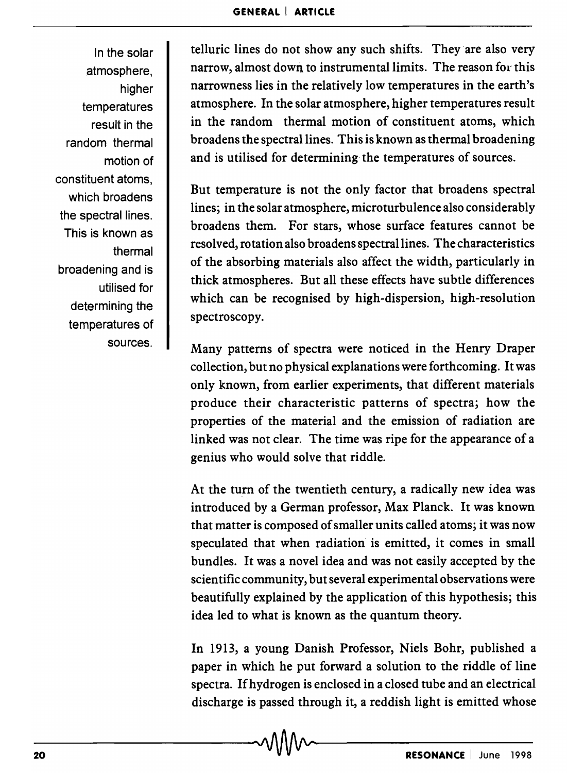In the solar atmosphere, higher temperatures result in the random thermal motion of constituent atoms, which broadens the spectral lines. This is known as thermal broadening and is utilised for determining the temperatures of sources.

telluric lines do not show any such shifts. They are also very narrow, almost down. to instrumental limits. The reason for this narrowness lies in the relatively low temperatures in the earth's atmosphere. In the solar atmosphere, higher temperatures result in the random thermal motion of constituent atoms, which broadens the spectral lines. This is known as thermal broadening and is utilised for determining the temperatures of sources.

But temperature is not the only factor that broadens spectral lines; in the solar atmosphere, microturbulence also considerably broadens them. For stars, whose surface features cannot be resolved, rotation also broadens spectral lines. The characteristics of the absorbing materials also affect the width, particularly in thick atmospheres. But all these effects have subtle differences which can be recognised by high-dispersion, high-resolution spectroscopy.

Many patterns of spectra were noticed in the Henry Draper collection, but no physical explanations were forthcoming. It was only known, from earlier experiments, that different materials produce their characteristic patterns of spectra; how the properties of the material and the emission of radiation are linked was not clear. The time was ripe for the appearance of a genius who would solve that riddle.

At the turn of the twentieth century, a radically new idea was introduced by a German professor, Max Planck. It was known that matter is composed of smaller units called atoms; it was now speculated that when radiation is emitted, it comes in small bundles. It was a novel idea and was not easily accepted by the scientific community, but several experimental observations were beautifully explained by the application of this hypothesis; this idea led to what is known as the quantum theory.

In 1913, a young Danish Professor, Niels Bohr, published a paper in which he put forward a solution to the riddle of line spectra. Ifhydrogen is enclosed in a closed tube and an electrical discharge is passed through it, a reddish light is emitted whose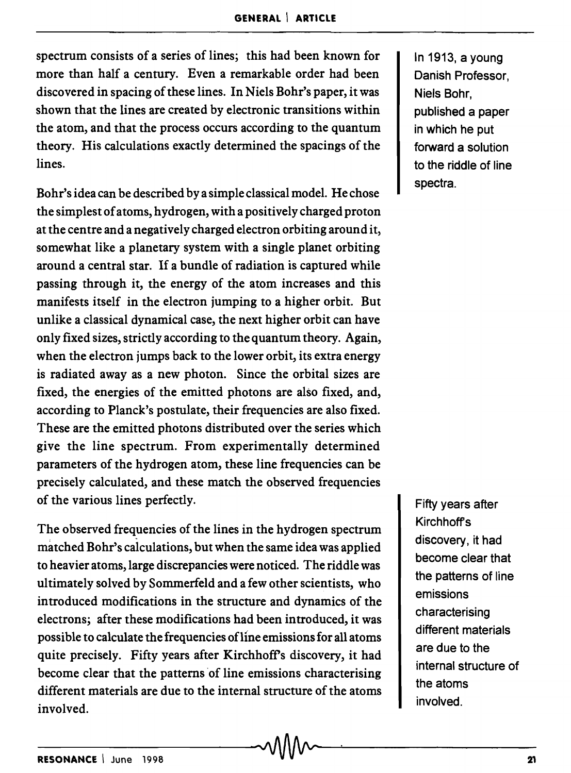spectrum consists of a series of lines; this had been known for more than half a century. Even a remarkable order had been discovered in spacing of these lines. In Niels Bohr's paper, it was shown that the lines are created by electronic transitions within the atom, and that the process occurs according to the quantum theory. His calculations exactly determined the spacings of the lines.

Bohr's idea can be described by a simple classical model. He chose the simplest of atoms, hydrogen, with a positively charged proton at the centre and a negatively charged electron orbiting around it, somewhat like a planetary system with a single planet orbiting around a central star. If a bundle of radiation is captured while passing through it, the energy of the atom increases and this manifests itself in the electron jumping to a higher orbit. But unlike a classical dynamical case, the next higher orbit can have only fixed sizes, strictly according to the quantum theory. Again, when the electron jumps back to the lower orbit, its extra energy is radiated away as a new photon. Since the orbital sizes are fixed, the energies of the emitted photons are also fixed, and, according to Planck's postulate, their frequencies are also fixed. These are the emitted photons distributed over the series which give the line spectrum. From experimentally determined parameters of the hydrogen atom, these line frequencies can be precisely calculated, and these match the observed frequencies of the various lines perfectly.

The observed frequencies of the lines in the hydrogen spectrum matched Bohr's calculations, but when the same idea was applied to heavier atoms, large discrepancies were noticed. The riddle was ultimately solved by Sommerfeld and a few other scientists, who introduced modifications in the structure and dynamics of the electrons; after these modifications had been introduced, it was possible to calculate the frequencies of line emissions for all atoms quite precisely. Fifty years after Kirchhoff's discovery, it had become clear that the patterns of line emissions characterising different materials are due to the internal structure of the atoms involved.

In 1913, a young Danish Professor, Niels Bohr, published a paper in which he put forward a solution to the riddle of line spectra.

Fifty years after Kirchhoff's discovery, it had become clear that the patterns of line emissions characterising different materials are due to the internal structure of the atoms involved.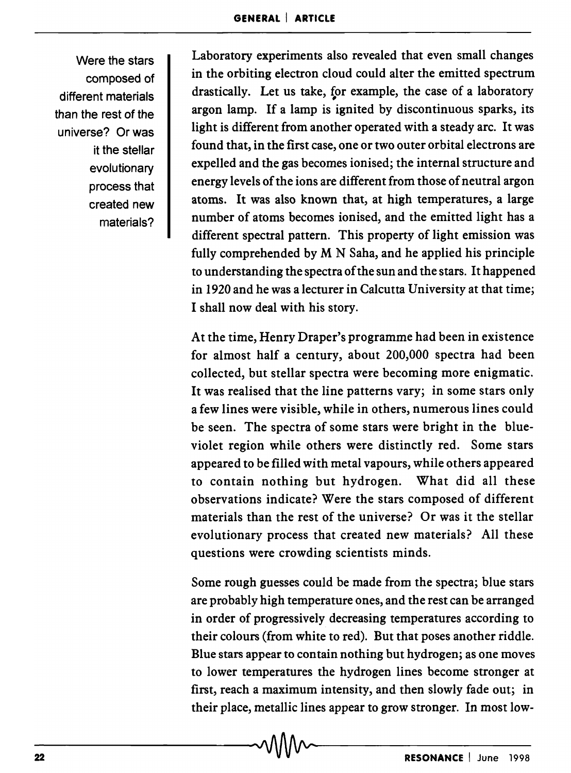Were the stars composed of different materials than the rest of the universe? Or was it the stellar evolutionary process that created new materials?

Laboratory experiments also revealed that even small changes in the orbiting electron cloud could alter the emitted spectrum drastically. Let us take, for example, the case of a laboratory # argon lamp. If a lamp is ignited by discontinuous sparks, its light is different from another operated with a steady arc. It was found that, in the first case, one or two outer orbital electrons are expelled and the gas becomes ionised; the internal structure and energy levels of the ions are different from those of neutral argon atoms. It was also known that, at high temperatures, a large number of atoms becomes ionised, and the emitted light has a different spectral pattern. This property of light emission was fully comprehended by M N Saha, and he applied his principle to understanding the spectra of the sun and the stars. It happened in 1920 and he was a lecturer in Calcutta University at that time; I shall now deal with his story.

At the time, Henry Draper's programme had been in existence for almost half a century, about 200,000 spectra had been collected, but stellar spectra were becoming more enigmatic. It was realised that the line patterns vary; in some stars only a few lines were visible, while in others, numerous lines could be seen. The spectra of some stars were bright in the blueviolet region while others were distinctly red. Some stars appeared to be filled with metal vapours, while others appeared to contain nothing but hydrogen. What did all these observations indicate? Were the stars composed of different materials than the rest of the universe? Or was it the stellar evolutionary process that created new materials? All these questions were crowding scientists minds.

Some rough guesses could be made from the spectra; blue stars are probably high temperature ones, and the rest can be arranged in order of progressively decreasing temperatures according to their colours (from white to red). But that poses another riddle. Blue stars appear to contain nothing but hydrogen; as one moves to lower temperatures the hydrogen lines become stronger at first, reach a maximum intensity, and then slowly fade out; in their place, metallic lines appear to grow stronger. In most low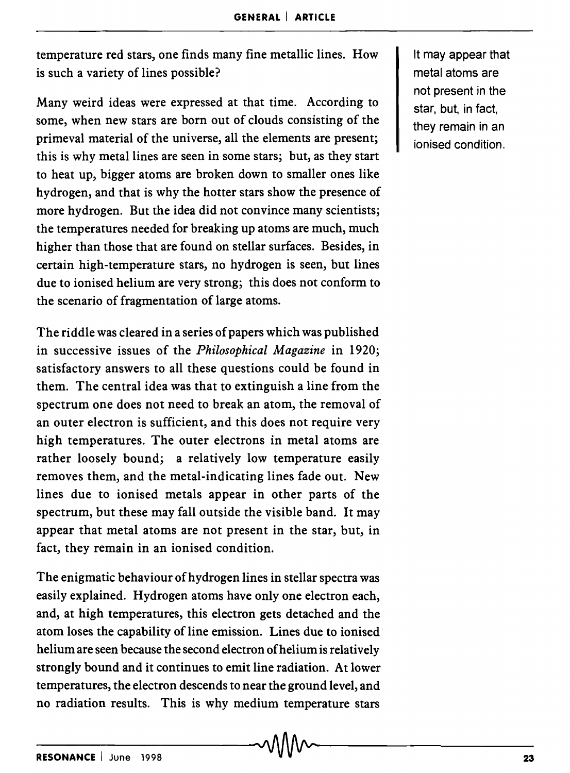temperature red stars, one finds many fine metallic lines. How is such a variety of lines possible?

Many weird ideas were expressed at that time. According to some, when new stars are born out of clouds consisting of the primeval material of the universe, all the elements are present; this is why metal lines are seen in some stars; but, as they start to heat up, bigger atoms are broken down to smaller ones like hydrogen, and that is why the hotter stars show the presence of more hydrogen. But the idea did not convince many scientists; the temperatures needed for breaking up atoms are much, much higher than those that are found on stellar surfaces. Besides, in certain high-temperature stars, no hydrogen is seen, but lines due to ionised helium are very strong; this does not conform to the scenario of fragmentation of large atoms.

The riddle was cleared in a series of papers which was published in successive issues of the *Philosophical Magazine* in 1920; satisfactory answers to all these questions could be found in them. The central idea was that to extinguish a line from the spectrum one does not need to break an atom, the removal of an outer electron is sufficient, and this does not require very high temperatures. The outer electrons in metal atoms are rather loosely bound; a relatively low temperature easily removes them, and the metal-indicating lines fade out. New lines due to ionised metals appear in other parts of the spectrum, but these may fall outside the visible band. It may appear that metal atoms are not present in the star, but, in fact, they remain in an ionised condition.

The enigmatic behaviour of hydrogen lines in stellar spectra was easily explained. Hydrogen atoms have only one electron each, and, at high temperatures, this electron gets detached and the atom loses the capability of line emission. Lines due to ionised· helium are seen because the second electron of helium is relatively strongly bound and it continues to emit line radiation. At lower temperatures, the electron descends to near the ground level, and no radiation results. This is why medium temperature stars

It may appear that metal atoms are not present in the star, but, in fact, they remain in an ionised condition.